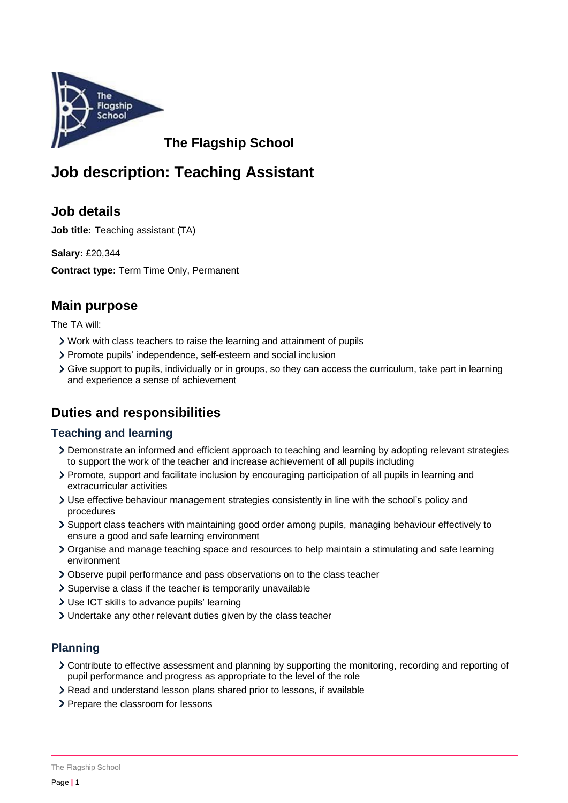

**The Flagship School**

# **Job description: Teaching Assistant**

# **Job details**

**Job title:** Teaching assistant (TA)

**Salary:** £20,344

**Contract type:** Term Time Only, Permanent

# **Main purpose**

The TA will:

- Work with class teachers to raise the learning and attainment of pupils
- Promote pupils' independence, self-esteem and social inclusion
- Give support to pupils, individually or in groups, so they can access the curriculum, take part in learning and experience a sense of achievement

# **Duties and responsibilities**

### **Teaching and learning**

- Demonstrate an informed and efficient approach to teaching and learning by adopting relevant strategies to support the work of the teacher and increase achievement of all pupils including
- Promote, support and facilitate inclusion by encouraging participation of all pupils in learning and extracurricular activities
- Use effective behaviour management strategies consistently in line with the school's policy and procedures
- Support class teachers with maintaining good order among pupils, managing behaviour effectively to ensure a good and safe learning environment
- Organise and manage teaching space and resources to help maintain a stimulating and safe learning environment
- Observe pupil performance and pass observations on to the class teacher
- Supervise a class if the teacher is temporarily unavailable
- Use ICT skills to advance pupils' learning
- Undertake any other relevant duties given by the class teacher

### **Planning**

- Contribute to effective assessment and planning by supporting the monitoring, recording and reporting of pupil performance and progress as appropriate to the level of the role
- Read and understand lesson plans shared prior to lessons, if available
- > Prepare the classroom for lessons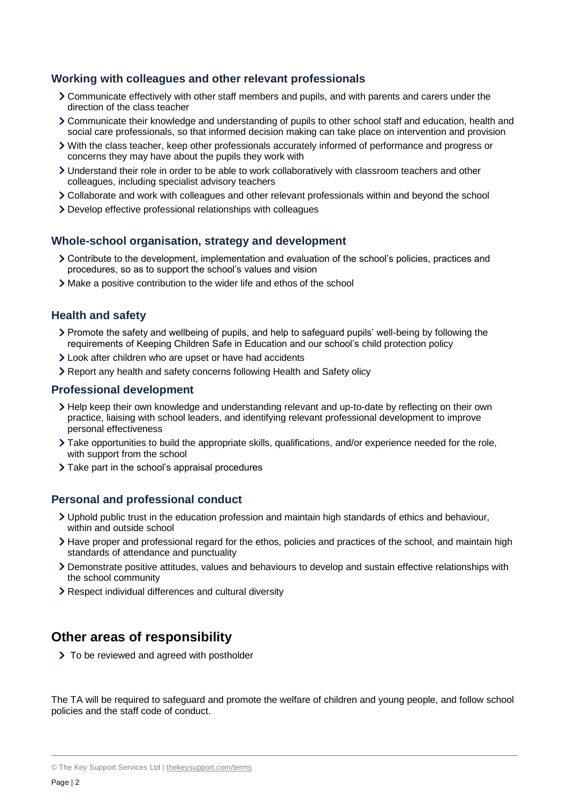#### **Working with colleagues and other relevant professionals**

- Communicate effectively with other staff members and pupils, and with parents and carers under the direction of the class teacher
- Communicate their knowledge and understanding of pupils to other school staff and education, health and social care professionals, so that informed decision making can take place on intervention and provision
- With the class teacher, keep other professionals accurately informed of performance and progress or concerns they may have about the pupils they work with
- Understand their role in order to be able to work collaboratively with classroom teachers and other colleagues, including specialist advisory teachers
- Collaborate and work with colleagues and other relevant professionals within and beyond the school
- Develop effective professional relationships with colleagues

#### **Whole-school organisation, strategy and development**

- Contribute to the development, implementation and evaluation of the school's policies, practices and procedures, so as to support the school's values and vision
- Make a positive contribution to the wider life and ethos of the school

#### **Health and safety**

- Promote the safety and wellbeing of pupils, and help to safeguard pupils' well-being by following the requirements of Keeping Children Safe in Education and our school's child protection policy
- Look after children who are upset or have had accidents
- Report any health and safety concerns following Health and Safety olicy

#### **Professional development**

- Help keep their own knowledge and understanding relevant and up-to-date by reflecting on their own practice, liaising with school leaders, and identifying relevant professional development to improve personal effectiveness
- Take opportunities to build the appropriate skills, qualifications, and/or experience needed for the role, with support from the school
- > Take part in the school's appraisal procedures

#### **Personal and professional conduct**

- Uphold public trust in the education profession and maintain high standards of ethics and behaviour, within and outside school
- > Have proper and professional regard for the ethos, policies and practices of the school, and maintain high standards of attendance and punctuality
- Demonstrate positive attitudes, values and behaviours to develop and sustain effective relationships with the school community
- Respect individual differences and cultural diversity

### **Other areas of responsibility**

> To be reviewed and agreed with postholder

The TA will be required to safeguard and promote the welfare of children and young people, and follow school policies and the staff code of conduct.

<sup>©</sup> The Key Support Services Ltd | [thekeysupport.com/terms](https://thekeysupport.com/terms-of-use)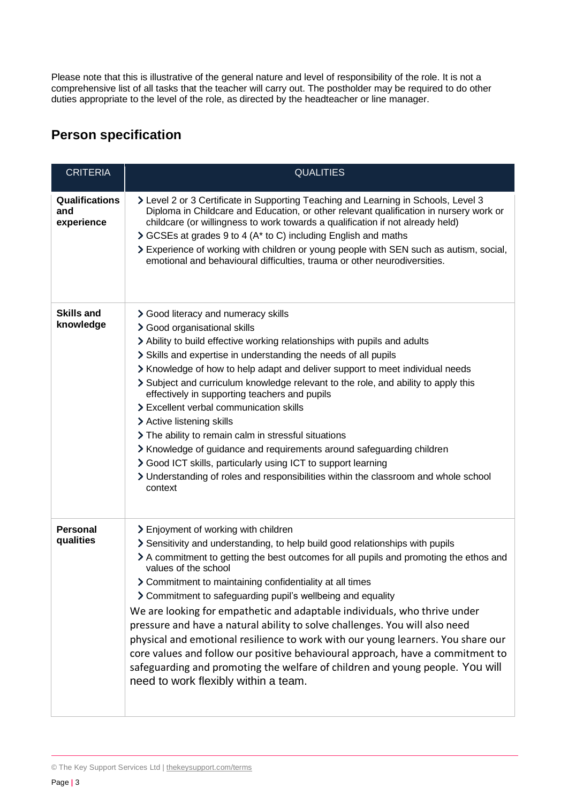Please note that this is illustrative of the general nature and level of responsibility of the role. It is not a comprehensive list of all tasks that the teacher will carry out. The postholder may be required to do other duties appropriate to the level of the role, as directed by the headteacher or line manager.

# **Person specification**

| <b>CRITERIA</b>                     | <b>QUALITIES</b>                                                                                                                                                                                                                                                                                                                                                                                                                                                                                                                                                                                                                                                                                                                                                                                                            |
|-------------------------------------|-----------------------------------------------------------------------------------------------------------------------------------------------------------------------------------------------------------------------------------------------------------------------------------------------------------------------------------------------------------------------------------------------------------------------------------------------------------------------------------------------------------------------------------------------------------------------------------------------------------------------------------------------------------------------------------------------------------------------------------------------------------------------------------------------------------------------------|
| Qualifications<br>and<br>experience | > Level 2 or 3 Certificate in Supporting Teaching and Learning in Schools, Level 3<br>Diploma in Childcare and Education, or other relevant qualification in nursery work or<br>childcare (or willingness to work towards a qualification if not already held)<br>> GCSEs at grades 9 to 4 (A* to C) including English and maths<br>> Experience of working with children or young people with SEN such as autism, social,<br>emotional and behavioural difficulties, trauma or other neurodiversities.                                                                                                                                                                                                                                                                                                                     |
| <b>Skills and</b><br>knowledge      | > Good literacy and numeracy skills<br>> Good organisational skills<br>> Ability to build effective working relationships with pupils and adults<br>> Skills and expertise in understanding the needs of all pupils<br>> Knowledge of how to help adapt and deliver support to meet individual needs<br>Subject and curriculum knowledge relevant to the role, and ability to apply this<br>effectively in supporting teachers and pupils<br>> Excellent verbal communication skills<br>> Active listening skills<br>> The ability to remain calm in stressful situations<br>> Knowledge of guidance and requirements around safeguarding children<br>> Good ICT skills, particularly using ICT to support learning<br>> Understanding of roles and responsibilities within the classroom and whole school<br>context       |
| <b>Personal</b><br>qualities        | > Enjoyment of working with children<br>Sensitivity and understanding, to help build good relationships with pupils<br>> A commitment to getting the best outcomes for all pupils and promoting the ethos and<br>values of the school<br>> Commitment to maintaining confidentiality at all times<br>> Commitment to safeguarding pupil's wellbeing and equality<br>We are looking for empathetic and adaptable individuals, who thrive under<br>pressure and have a natural ability to solve challenges. You will also need<br>physical and emotional resilience to work with our young learners. You share our<br>core values and follow our positive behavioural approach, have a commitment to<br>safeguarding and promoting the welfare of children and young people. You will<br>need to work flexibly within a team. |